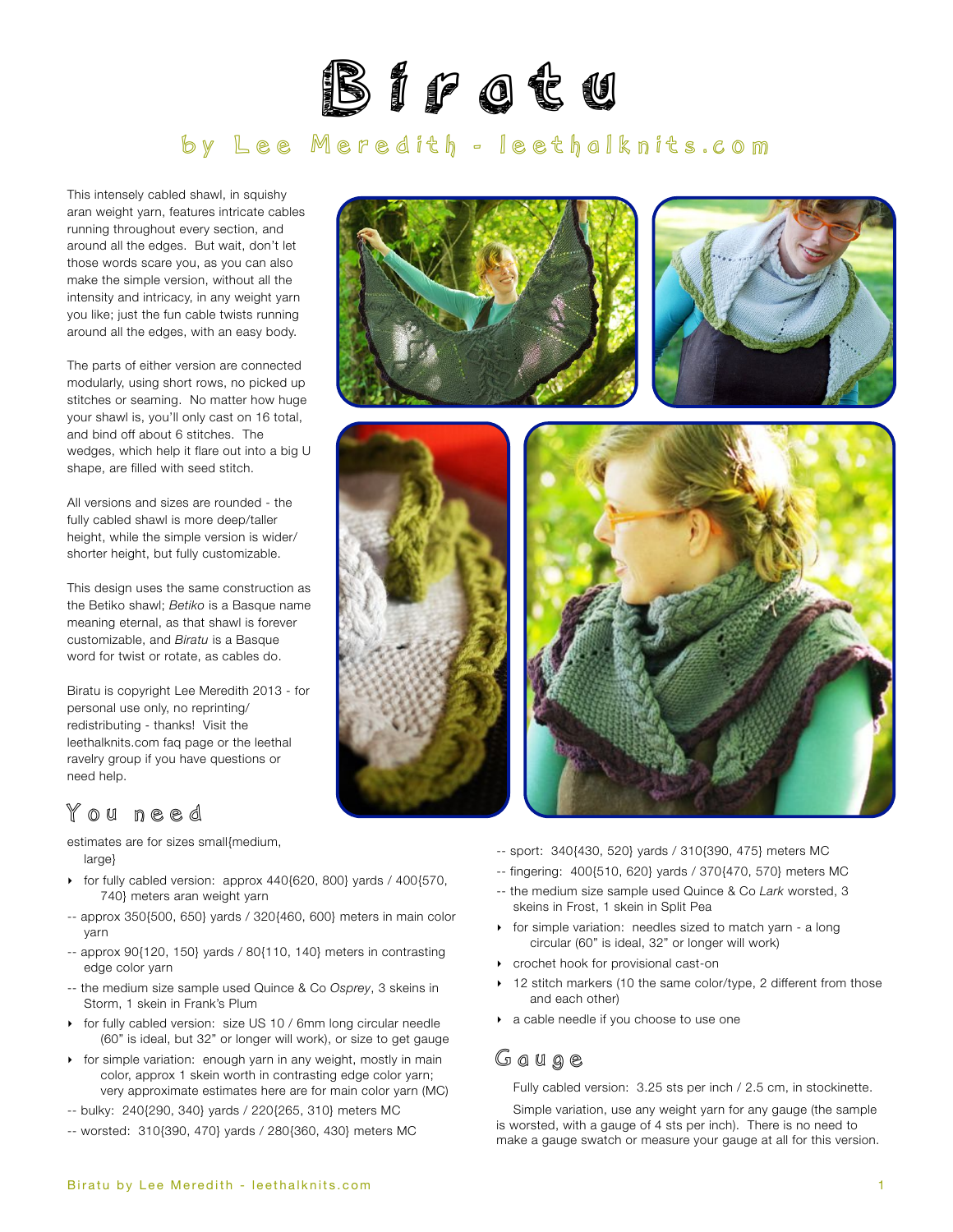

# by Lee Meredith - [leethalknits.com](http://www.leethalknits.com)

This intensely cabled shawl, in squishy aran weight yarn, features intricate cables running throughout every section, and around all the edges. But wait, don't let those words scare you, as you can also make the simple version, without all the intensity and intricacy, in any weight yarn you like; just the fun cable twists running around all the edges, with an easy body.

The parts of either version are connected modularly, using short rows, no picked up stitches or seaming. No matter how huge your shawl is, you'll only cast on 16 total, and bind off about 6 stitches. The wedges, which help it flare out into a big U shape, are filled with seed stitch.

All versions and sizes are rounded - the fully cabled shawl is more deep/taller height, while the simple version is wider/ shorter height, but fully customizable.

This design uses the same construction as the Betiko shawl; *Betiko* is a Basque name meaning eternal, as that shawl is forever customizable, and *Biratu* is a Basque word for twist or rotate, as cables do.

Biratu is copyright Lee Meredith 2013 - for personal use only, no reprinting/ redistributing - thanks! Visit the leethalknits.com [faq page](http://www.leethalknits.com/faq.html) or the leethal [ravelry group](http://www.ravelry.com/groups/leethal-knitters) if you have questions or need help.

# You need

estimates are for sizes small{medium, large}

- ‣ for fully cabled version: approx 440{620, 800} yards / 400{570, 740} meters aran weight yarn
- -- approx 350{500, 650} yards / 320{460, 600} meters in main color yarn
- -- approx 90{120, 150} yards / 80{110, 140} meters in contrasting edge color yarn
- -- the medium size sample used Quince & Co *Osprey*, 3 skeins in Storm, 1 skein in Frank's Plum
- ‣ for fully cabled version: size US 10 / 6mm long circular needle (60" is ideal, but 32" or longer will work), or size to get gauge
- ‣ for simple variation: enough yarn in any weight, mostly in main color, approx 1 skein worth in contrasting edge color yarn; very approximate estimates here are for main color yarn (MC)
- -- bulky: 240{290, 340} yards / 220{265, 310} meters MC
- -- worsted: 310{390, 470} yards / 280{360, 430} meters MC









- -- sport: 340{430, 520} yards / 310{390, 475} meters MC
- -- fingering: 400{510, 620} yards / 370{470, 570} meters MC
- -- the medium size sample used Quince & Co *Lark* worsted, 3 skeins in Frost, 1 skein in Split Pea
- ‣ for simple variation: needles sized to match yarn a long circular (60" is ideal, 32" or longer will work)
- ‣ crochet hook for provisional cast-on
- 12 stitch markers (10 the same color/type, 2 different from those and each other)
- ‣ a cable needle if you choose to use one

### Gauge

Fully cabled version: 3.25 sts per inch / 2.5 cm, in stockinette.

Simple variation, use any weight yarn for any gauge (the sample is worsted, with a gauge of 4 sts per inch). There is no need to make a gauge swatch or measure your gauge at all for this version.